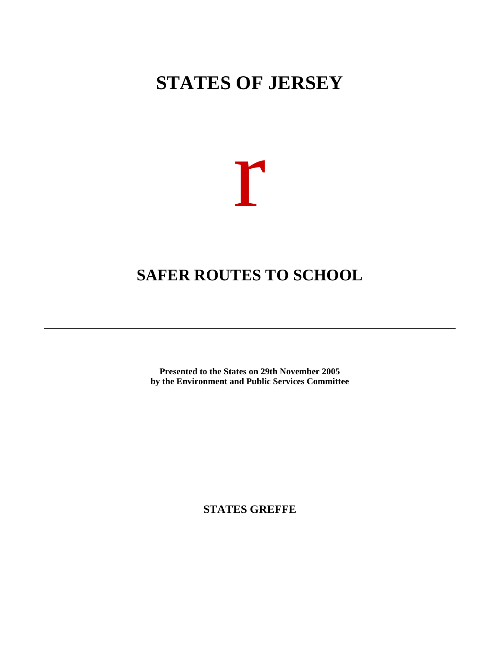# **STATES OF JERSEY**



## **SAFER ROUTES TO SCHOOL**

**Presented to the States on 29th November 2005 by the Environment and Public Services Committee**

**STATES GREFFE**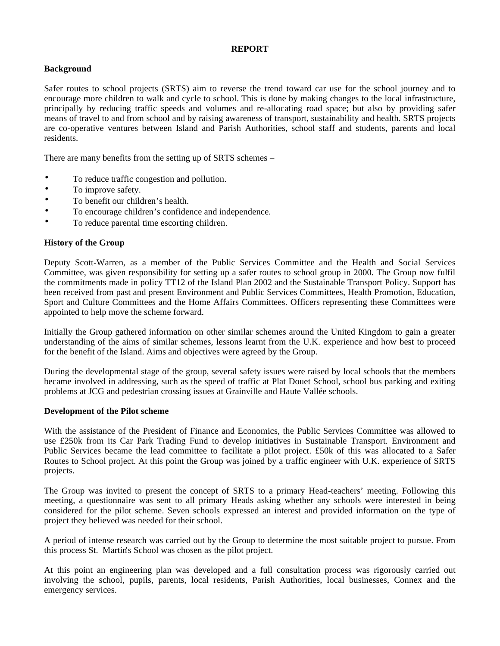#### **REPORT**

### **Background**

Safer routes to school projects (SRTS) aim to reverse the trend toward car use for the school journey and to encourage more children to walk and cycle to school. This is done by making changes to the local infrastructure, principally by reducing traffic speeds and volumes and re-allocating road space; but also by providing safer means of travel to and from school and by raising awareness of transport, sustainability and health. SRTS projects are co-operative ventures between Island and Parish Authorities, school staff and students, parents and local residents.

There are many benefits from the setting up of SRTS schemes –

- To reduce traffic congestion and pollution.
- To improve safety.
- To benefit our children's health.
- To encourage children's confidence and independence.
- To reduce parental time escorting children.

#### **History of the Group**

Deputy Scott-Warren, as a member of the Public Services Committee and the Health and Social Services Committee, was given responsibility for setting up a safer routes to school group in 2000. The Group now fulfil the commitments made in policy TT12 of the Island Plan 2002 and the Sustainable Transport Policy. Support has been received from past and present Environment and Public Services Committees, Health Promotion, Education, Sport and Culture Committees and the Home Affairs Committees. Officers representing these Committees were appointed to help move the scheme forward.

Initially the Group gathered information on other similar schemes around the United Kingdom to gain a greater understanding of the aims of similar schemes, lessons learnt from the U.K. experience and how best to proceed for the benefit of the Island. Aims and objectives were agreed by the Group.

During the developmental stage of the group, several safety issues were raised by local schools that the members became involved in addressing, such as the speed of traffic at Plat Douet School, school bus parking and exiting problems at JCG and pedestrian crossing issues at Grainville and Haute Vallée schools.

#### **Development of the Pilot scheme**

With the assistance of the President of Finance and Economics, the Public Services Committee was allowed to use £250k from its Car Park Trading Fund to develop initiatives in Sustainable Transport. Environment and Public Services became the lead committee to facilitate a pilot project. £50k of this was allocated to a Safer Routes to School project. At this point the Group was joined by a traffic engineer with U.K. experience of SRTS projects.

The Group was invited to present the concept of SRTS to a primary Head-teachers' meeting. Following this meeting, a questionnaire was sent to all primary Heads asking whether any schools were interested in being considered for the pilot scheme. Seven schools expressed an interest and provided information on the type of project they believed was needed for their school.

A period of intense research was carried out by the Group to determine the most suitable project to pursue. From this process St. Martin's School was chosen as the pilot project.

At this point an engineering plan was developed and a full consultation process was rigorously carried out involving the school, pupils, parents, local residents, Parish Authorities, local businesses, Connex and the emergency services.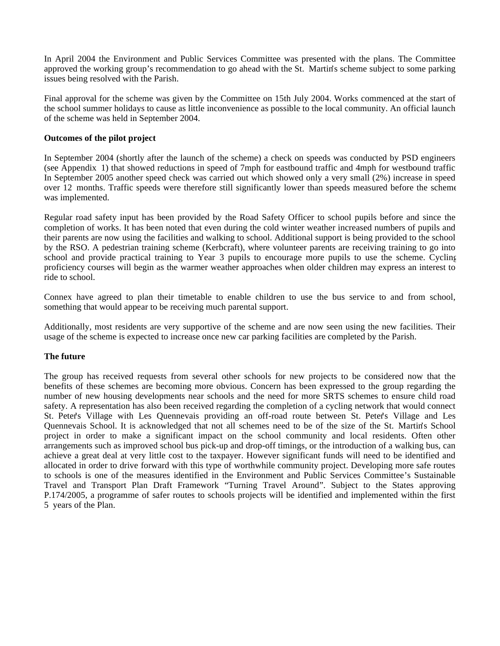In April 2004 the Environment and Public Services Committee was presented with the plans. The Committee approved the working group's recommendation to go ahead with the St. Martin's scheme subject to some parking issues being resolved with the Parish.

Final approval for the scheme was given by the Committee on 15th July 2004. Works commenced at the start of the school summer holidays to cause as little inconvenience as possible to the local community. An official launch of the scheme was held in September 2004.

#### **Outcomes of the pilot project**

In September 2004 (shortly after the launch of the scheme) a check on speeds was conducted by PSD engineers (see Appendix 1) that showed reductions in speed of 7mph for eastbound traffic and 4mph for westbound traffic. In September 2005 another speed check was carried out which showed only a very small (2%) increase in speed over 12 months. Traffic speeds were therefore still significantly lower than speeds measured before the scheme was implemented.

Regular road safety input has been provided by the Road Safety Officer to school pupils before and since the completion of works. It has been noted that even during the cold winter weather increased numbers of pupils and their parents are now using the facilities and walking to school. Additional support is being provided to the school by the RSO. A pedestrian training scheme (Kerbcraft), where volunteer parents are receiving training to go into school and provide practical training to Year 3 pupils to encourage more pupils to use the scheme. Cycling proficiency courses will begin as the warmer weather approaches when older children may express an interest to ride to school.

Connex have agreed to plan their timetable to enable children to use the bus service to and from school, something that would appear to be receiving much parental support.

Additionally, most residents are very supportive of the scheme and are now seen using the new facilities. Their usage of the scheme is expected to increase once new car parking facilities are completed by the Parish.

#### **The future**

The group has received requests from several other schools for new projects to be considered now that the benefits of these schemes are becoming more obvious. Concern has been expressed to the group regarding the number of new housing developments near schools and the need for more SRTS schemes to ensure child road safety. A representation has also been received regarding the completion of a cycling network that would connect St. Peter's Village with Les Quennevais providing an off-road route between St. Peter's Village and Les Quennevais School. It is acknowledged that not all schemes need to be of the size of the St. Martin's School project in order to make a significant impact on the school community and local residents. Often other arrangements such as improved school bus pick-up and drop-off timings, or the introduction of a walking bus, can achieve a great deal at very little cost to the taxpayer. However significant funds will need to be identified and allocated in order to drive forward with this type of worthwhile community project. Developing more safe routes to schools is one of the measures identified in the Environment and Public Services Committee's Sustainable Travel and Transport Plan Draft Framework "Turning Travel Around". Subject to the States approving P.174/2005, a programme of safer routes to schools projects will be identified and implemented within the first 5 years of the Plan.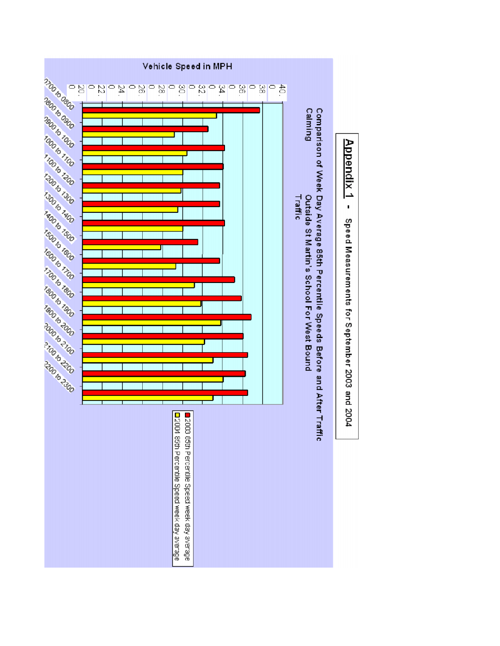